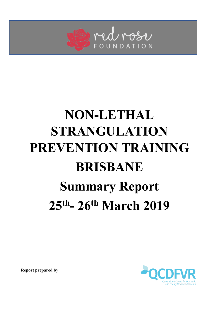

# **NON-LETHAL STRANGULATION PREVENTION TRAINING BRISBANE Summary Report 25th- 26th March 2019**

**Report prepared by**

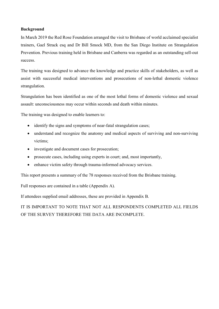#### **Background**

In March 2019 the Red Rose Foundation arranged the visit to Brisbane of world acclaimed specialist trainers, Gael Strack esq and Dr Bill Smock MD, from the San Diego Institute on Strangulation Prevention. Previous training held in Brisbane and Canberra was regarded as an outstanding sell-out success.

The training was designed to advance the knowledge and practice skills of stakeholders, as well as assist with successful medical interventions and prosecutions of non-lethal domestic violence strangulation.

Strangulation has been identified as one of the most lethal forms of domestic violence and sexual assault: unconsciousness may occur within seconds and death within minutes.

The training was designed to enable learners to:

- identify the signs and symptoms of near-fatal strangulation cases;
- understand and recognize the anatomy and medical aspects of surviving and non-surviving victims;
- investigate and document cases for prosecution;
- prosecute cases, including using experts in court; and, most importantly,
- enhance victim safety through trauma-informed advocacy services.

This report presents a summary of the 78 responses received from the Brisbane training.

Full responses are contained in a table (Appendix A).

If attendees supplied email addresses, these are provided in Appendix B.

IT IS IMPORTANT TO NOTE THAT NOT ALL RESPONDENTS COMPLETED ALL FIELDS OF THE SURVEY THEREFORE THE DATA ARE INCOMPLETE.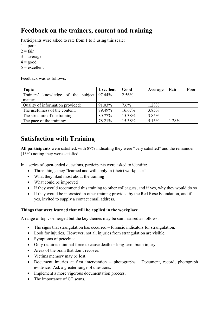# **Feedback on the trainers, content and training**

Participants were asked to rate from 1 to 5 using this scale:

- $1 =$  poor
- $2 = \text{fair}$
- $3$  = average
- $4 = good$
- $5 =$  excellent

Feedback was as follows:

| <b>Topic</b>                                    | <b>Excellent</b> | Good      | Average | Fair  | Poor |
|-------------------------------------------------|------------------|-----------|---------|-------|------|
| knowledge of the subject $97.44\%$<br>Trainers' |                  | 2.56%     |         |       |      |
| matter:                                         |                  |           |         |       |      |
| Quality of information provided:                | 91.03%           | $7.6\%$   | 1.28%   |       |      |
| The usefulness of the content:                  | 79.49%           | $16.67\%$ | 3.85%   |       |      |
| The structure of the training:                  | 80.77%           | 15.38%    | 3.85%   |       |      |
| The pace of the training:                       | 78.21%           | 15.38%    | 5.13%   | 1.28% |      |

# **Satisfaction with Training**

**All participants** were satisfied, with 87% indicating they were "very satisfied" and the remainder (13%) noting they were satisfied.

In a series of open-ended questions, participants were asked to identify:

- Three things they "learned and will apply in (their) workplace"
- What they liked most about the training
- What could be improved
- If they would recommend this training to other colleagues, and if yes, why they would do so
- If they would be interested in other training provided by the Red Rose Foundation, and if yes, invited to supply a contact email address.

## **Things that were learned that will be applied in the workplace**

A range of topics emerged but the key themes may be summarised as follows:

- The signs that strangulation has occurred forensic indicators for strangulation.
- Look for injuries. However, not all injuries from strangulation are visible.
- Symptoms of petechiae.
- Only requires minimal force to cause death or long-term brain injury.
- Areas of the brain that don't recover.
- Victims memory may be lost.
- Document injuries at first intervention photographs. Document, record, photograph evidence. Ask a greater range of questions.
- Implement a more vigorous documentation process.
- The importance of CT scans.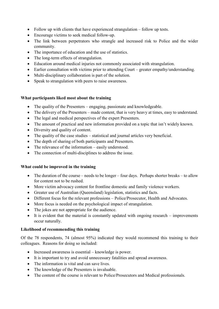- Follow up with clients that have experienced strangulation follow up tests.
- Encourage victims to seek medical follow-up.
- The link between perpetrators who strangle and increased risk to Police and the wider community.
- The importance of education and the use of statistics.
- The long-term effects of strangulation.
- Education around medical injuries not commonly associated with strangulation.
- Earlier consultation with victims prior to attending Court greater empathy/understanding.
- Multi-disciplinary collaboration is part of the solution.
- Speak to strangulation with peers to raise awareness.

## **What participants liked most about the training**

- The quality of the Presenters engaging, passionate and knowledgeable.
- The delivery of the Presenters made content, that is very heavy at times, easy to understand.
- The legal and medical perspectives of the expert Presenters.
- The amount of practical and new information provided on a topic that isn't widely known.
- Diversity and quality of content.
- The quality of the case studies statistical and journal articles very beneficial.
- The depth of sharing of both participants and Presenters.
- The relevance of the information easily understood.
- The connection of multi-disciplines to address the issue.

## **What could be improved in the training**

- The duration of the course needs to be longer four days. Perhaps shorter breaks to allow for content not to be rushed.
- More victim advocacy content for frontline domestic and family violence workers.
- Greater use of Australian (Queensland) legislation, statistics and facts.
- Different focus for the relevant professions Police/Prosecutor, Health and Advocates.
- More focus is needed on the psychological impact of strangulation.
- The jokes are not appropriate for the audience.
- It is evident that the material is constantly updated with ongoing research improvements occur naturally.

## **Likelihood of recommending this training**

Of the 78 respondents, 74 (almost 95%) indicated they would recommend this training to their colleagues. Reasons for doing so included:

- Increased awareness is essential knowledge is power.
- It is important to try and avoid unnecessary fatalities and spread awareness.
- The information is vital and can save lives.
- The knowledge of the Presenters is invaluable.
- The content of the course is relevant to Police/Prosecutors and Medical professionals.